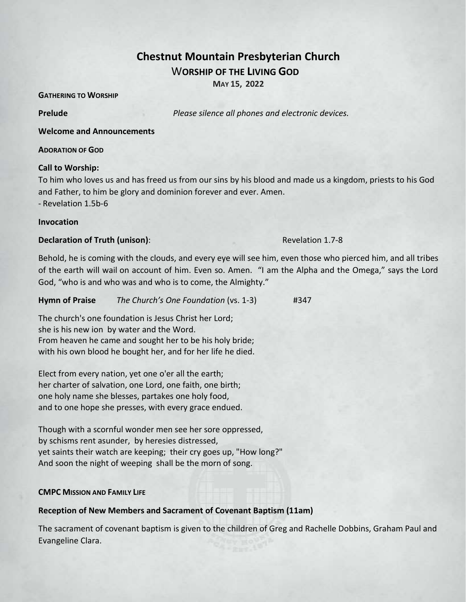# **Chestnut Mountain Presbyterian Church** W**ORSHIP OF THE LIVING GOD**

**MAY 15, 2022**

**GATHERING TO WORSHIP** 

**Prelude** *Please silence all phones and electronic devices.*

**Welcome and Announcements** 

#### **ADORATION OF GOD**

#### **Call to Worship:**

To him who loves us and has freed us from our sins by his blood and made us a kingdom, priests to his God and Father, to him be glory and dominion forever and ever. Amen. - Revelation 1.5b-6

#### **Invocation**

#### **Declaration of Truth (unison):** Revelation 1.7-8

Behold, he is coming with the clouds, and every eye will see him, even those who pierced him, and all tribes of the earth will wail on account of him. Even so. Amen. "I am the Alpha and the Omega," says the Lord God, "who is and who was and who is to come, the Almighty."

**Hymn of Praise** *The Church's One Foundation* (vs. 1-3) #347

The church's one foundation is Jesus Christ her Lord; she is his new ion by water and the Word. From heaven he came and sought her to be his holy bride; with his own blood he bought her, and for her life he died.

Elect from every nation, yet one o'er all the earth; her charter of salvation, one Lord, one faith, one birth; one holy name she blesses, partakes one holy food, and to one hope she presses, with every grace endued.

Though with a scornful wonder men see her sore oppressed, by schisms rent asunder, by heresies distressed, yet saints their watch are keeping; their cry goes up, "How long?" And soon the night of weeping shall be the morn of song.

#### **CMPC MISSION AND FAMILY LIFE**

#### **Reception of New Members and Sacrament of Covenant Baptism (11am)**

The sacrament of covenant baptism is given to the children of Greg and Rachelle Dobbins, Graham Paul and Evangeline Clara.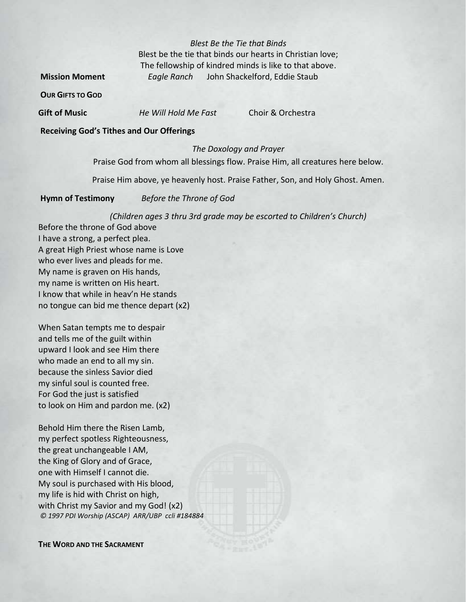*Blest Be the Tie that Binds* Blest be the tie that binds our hearts in Christian love; The fellowship of kindred minds is like to that above. **Mission Moment** *Eagle Ranch* John Shackelford, Eddie Staub

**OUR GIFTS TO GOD**

**Gift of Music** *He Will Hold Me Fast* Choir & Orchestra

#### **Receiving God's Tithes and Our Offerings**

#### *The Doxology and Prayer*

Praise God from whom all blessings flow. Praise Him, all creatures here below.

Praise Him above, ye heavenly host. Praise Father, Son, and Holy Ghost. Amen.

**Hymn of Testimony** *Before the Throne of God*

*(Children ages 3 thru 3rd grade may be escorted to Children's Church)*

Before the throne of God above I have a strong, a perfect plea. A great High Priest whose name is Love who ever lives and pleads for me. My name is graven on His hands, my name is written on His heart. I know that while in heav'n He stands no tongue can bid me thence depart (x2)

When Satan tempts me to despair and tells me of the guilt within upward I look and see Him there who made an end to all my sin. because the sinless Savior died my sinful soul is counted free. For God the just is satisfied to look on Him and pardon me. (x2)

Behold Him there the Risen Lamb, my perfect spotless Righteousness, the great unchangeable I AM, the King of Glory and of Grace, one with Himself I cannot die. My soul is purchased with His blood, my life is hid with Christ on high, with Christ my Savior and my God! (x2) *© 1997 PDI Worship (ASCAP) ARR/UBP ccli #184884*

**THE WORD AND THE SACRAMENT**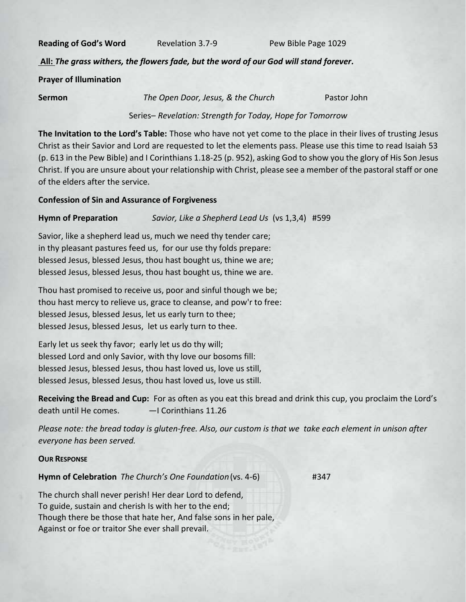**Reading of God's Word** Revelation 3.7-9 Pew Bible Page 1029

**All:** *The grass withers, the flowers fade, but the word of our God will stand forever.*

**Prayer of Illumination**

**Sermon** *The Open Door, Jesus, & the Church* Pastor John

Series– *Revelation: Strength for Today, Hope for Tomorrow*

**The Invitation to the Lord's Table:** Those who have not yet come to the place in their lives of trusting Jesus Christ as their Savior and Lord are requested to let the elements pass. Please use this time to read Isaiah 53 (p. 613 in the Pew Bible) and I Corinthians 1.18-25 (p. 952), asking God to show you the glory of His Son Jesus Christ. If you are unsure about your relationship with Christ, please see a member of the pastoral staff or one of the elders after the service.

#### **Confession of Sin and Assurance of Forgiveness**

**Hymn of Preparation** *Savior, Like a Shepherd Lead Us* (vs 1,3,4) #599

Savior, like a shepherd lead us, much we need thy tender care; in thy pleasant pastures feed us, for our use thy folds prepare: blessed Jesus, blessed Jesus, thou hast bought us, thine we are; blessed Jesus, blessed Jesus, thou hast bought us, thine we are.

Thou hast promised to receive us, poor and sinful though we be; thou hast mercy to relieve us, grace to cleanse, and pow'r to free: blessed Jesus, blessed Jesus, let us early turn to thee; blessed Jesus, blessed Jesus, let us early turn to thee.

Early let us seek thy favor; early let us do thy will; blessed Lord and only Savior, with thy love our bosoms fill: blessed Jesus, blessed Jesus, thou hast loved us, love us still, blessed Jesus, blessed Jesus, thou hast loved us, love us still.

**Receiving the Bread and Cup:** For as often as you eat this bread and drink this cup, you proclaim the Lord's death until He comes. *—*I Corinthians 11.26

*Please note: the bread today is gluten-free. Also, our custom is that we take each element in unison after everyone has been served.*

#### **OUR RESPONSE**

**Hymn of Celebration** *The Church's One Foundation*(vs. 4-6) #347

The church shall never perish! Her dear Lord to defend, To guide, sustain and cherish Is with her to the end; Though there be those that hate her, And false sons in her pale, Against or foe or traitor She ever shall prevail.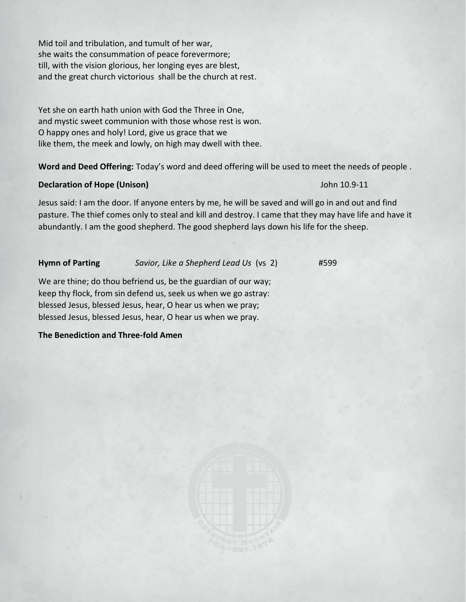Mid toil and tribulation, and tumult of her war, she waits the consummation of peace forevermore; till, with the vision glorious, her longing eyes are blest, and the great church victorious shall be the church at rest.

Yet she on earth hath union with God the Three in One, and mystic sweet communion with those whose rest is won. O happy ones and holy! Lord, give us grace that we like them, the meek and lowly, on high may dwell with thee.

**Word and Deed Offering:** Today's word and deed offering will be used to meet the needs of people .

#### **Declaration of Hope (Unison)**John 10.9-11

Jesus said: I am the door. If anyone enters by me, he will be saved and will go in and out and find pasture. The thief comes only to steal and kill and destroy. I came that they may have life and have it abundantly. I am the good shepherd. The good shepherd lays down his life for the sheep.

**Hymn of Parting** *Savior, Like a Shepherd Lead Us* (vs 2) #599

We are thine; do thou befriend us, be the guardian of our way; keep thy flock, from sin defend us, seek us when we go astray: blessed Jesus, blessed Jesus, hear, O hear us when we pray; blessed Jesus, blessed Jesus, hear, O hear us when we pray.

**The Benediction and Three-fold Amen** 

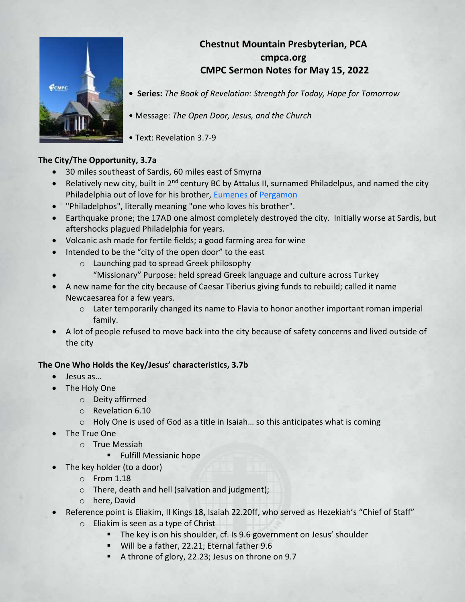## **Chestnut Mountain Presbyterian, PCA cmpca.org CMPC Sermon Notes for May 15, 2022**



**• Series:** *The Book of Revelation: Strength for Today, Hope for Tomorrow*

• Message: *The Open Door, Jesus, and the Church*

• Text: Revelation 3.7-9

### **The City/The Opportunity, 3.7a**

- 30 miles southeast of Sardis, 60 miles east of Smyrna
- Relatively new city, built in  $2^{nd}$  century BC by Attalus II, surnamed Philadelpus, and named the city Philadelphia out of love for his brother, [Eumenes](https://en.wikipedia.org/wiki/Eumenes_II) of [Pergamon](https://en.wikipedia.org/wiki/Pergamon)
- "Philadelphos", literally meaning "one who loves his brother".
- Earthquake prone; the 17AD one almost completely destroyed the city. Initially worse at Sardis, but aftershocks plagued Philadelphia for years.
- Volcanic ash made for fertile fields; a good farming area for wine
- Intended to be the "city of the open door" to the east
	- o Launching pad to spread Greek philosophy
	- "Missionary" Purpose: held spread Greek language and culture across Turkey
- A new name for the city because of Caesar Tiberius giving funds to rebuild; called it name Newcaesarea for a few years.
	- o Later temporarily changed its name to Flavia to honor another important roman imperial family.
- A lot of people refused to move back into the city because of safety concerns and lived outside of the city

#### **The One Who Holds the Key/Jesus' characteristics, 3.7b**

- Jesus as…
- The Holy One
	- o Deity affirmed
	- o Revelation 6.10
	- o Holy One is used of God as a title in Isaiah… so this anticipates what is coming
- The True One
	- o True Messiah
		- **EXECUTE:** Fulfill Messianic hope
- The key holder (to a door)
	- o From 1.18
	- o There, death and hell (salvation and judgment);
	- o here, David
- Reference point is Eliakim, II Kings 18, Isaiah 22.20ff, who served as Hezekiah's "Chief of Staff"
	- o Eliakim is seen as a type of Christ
		- The key is on his shoulder, cf. Is 9.6 government on Jesus' shoulder
		- Will be a father, 22.21; Eternal father 9.6
		- A throne of glory, 22.23; Jesus on throne on 9.7